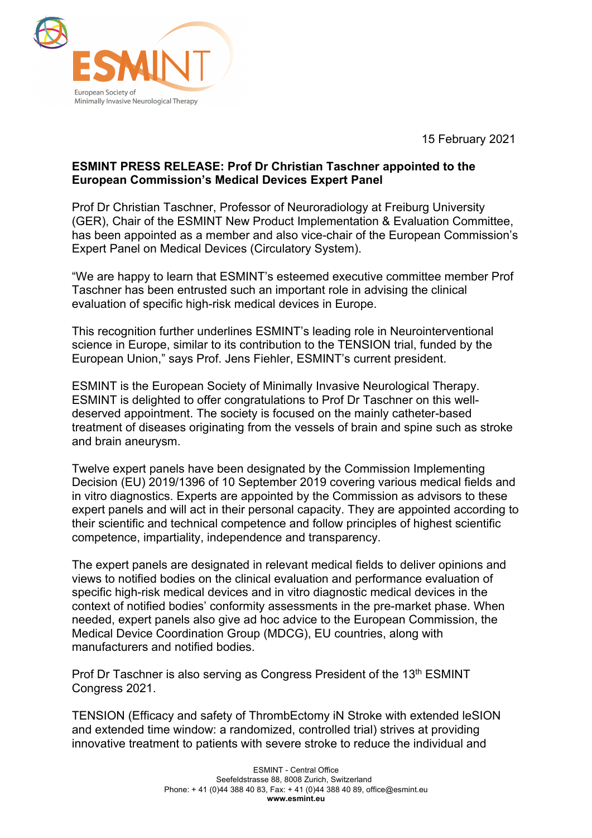

15 February 2021

## **ESMINT PRESS RELEASE: Prof Dr Christian Taschner appointed to the European Commission's Medical Devices Expert Panel**

Prof Dr Christian Taschner, Professor of Neuroradiology at Freiburg University (GER), Chair of the ESMINT New Product Implementation & Evaluation Committee, has been appointed as a member and also vice-chair of the European Commission's Expert Panel on Medical Devices (Circulatory System).

"We are happy to learn that ESMINT's esteemed executive committee member Prof Taschner has been entrusted such an important role in advising the clinical evaluation of specific high-risk medical devices in Europe.

This recognition further underlines ESMINT's leading role in Neurointerventional science in Europe, similar to its contribution to the TENSION trial, funded by the European Union," says Prof. Jens Fiehler, ESMINT's current president.

ESMINT is the European Society of Minimally Invasive Neurological Therapy. ESMINT is delighted to offer congratulations to Prof Dr Taschner on this welldeserved appointment. The society is focused on the mainly catheter-based treatment of diseases originating from the vessels of brain and spine such as stroke and brain aneurysm.

Twelve expert panels have been designated by the Commission Implementing Decision (EU) 2019/1396 of 10 September 2019 covering various medical fields and in vitro diagnostics. Experts are appointed by the Commission as advisors to these expert panels and will act in their personal capacity. They are appointed according to their scientific and technical competence and follow principles of highest scientific competence, impartiality, independence and transparency.

The expert panels are designated in relevant medical fields to deliver opinions and views to notified bodies on the clinical evaluation and performance evaluation of specific high-risk medical devices and in vitro diagnostic medical devices in the context of notified bodies' conformity assessments in the pre-market phase. When needed, expert panels also give ad hoc advice to the European Commission, the Medical Device Coordination Group (MDCG), EU countries, along with manufacturers and notified bodies.

Prof Dr Taschner is also serving as Congress President of the 13<sup>th</sup> ESMINT Congress 2021.

TENSION (Efficacy and safety of ThrombEctomy iN Stroke with extended leSION and extended time window: a randomized, controlled trial) strives at providing innovative treatment to patients with severe stroke to reduce the individual and